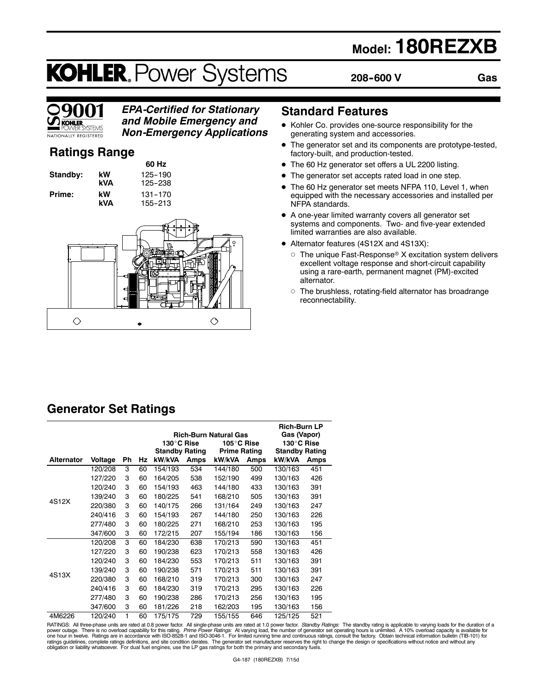# **Model: 180REZXB**

# **KOHLER. Power Systems**

**208--600 V**

**Gas**

# **KOHI FR ŠYSTEMS** NATIONALLY REGISTERED

### *EPA-Certified for Stationary and Mobile Emergency and Non-Emergency Applications*

**Ratings Range**

**Standby: kW** 125-190 **kVA** 125-238 **Prime:** kW 131-170<br>**kVA** 155-213

**60 Hz kVA** 155--213



# **Standard Features**

- $\bullet$  Kohler Co. provides one-source responsibility for the generating system and accessories.
- $\bullet$  The generator set and its components are prototype-tested, factory-built, and production-tested.
- The 60 Hz generator set offers a UL 2200 listing.
- The generator set accepts rated load in one step.
- The 60 Hz generator set meets NFPA 110, Level 1, when equipped with the necessary accessories and installed per NFPA standards.
- A one-year limited warranty covers all generator set systems and components. Two- and five-year extended limited warranties are also available.
- Alternator features (4S12X and 4S13X):
	- $\circ$  The unique Fast-Response® X excitation system delivers excellent voltage response and short-circuit capability using a rare-earth, permanent magnet (PM)-excited alternator.
	- $\circ$  The brushless, rotating-field alternator has broadrange reconnectability.

# **Generator Set Ratings**

|                   |         |    |    |                       |      |                              |      | <b>Rich-Burn LP</b>   |      |
|-------------------|---------|----|----|-----------------------|------|------------------------------|------|-----------------------|------|
|                   |         |    |    |                       |      | <b>Rich-Burn Natural Gas</b> |      | Gas (Vapor)           |      |
|                   |         |    |    | 130°C Rise            |      | 105°C Rise                   |      | 130°C Rise            |      |
|                   |         |    |    | <b>Standby Rating</b> |      | <b>Prime Rating</b>          |      | <b>Standby Rating</b> |      |
| <b>Alternator</b> | Voltage | Ph | Hz | kW/kVA                | Amps | kW/kVA                       | Amps | kW/kVA                | Amps |
|                   | 120/208 | 3  | 60 | 154/193               | 534  | 144/180                      | 500  | 130/163               | 451  |
|                   | 127/220 | 3  | 60 | 164/205               | 538  | 152/190                      | 499  | 130/163               | 426  |
|                   | 120/240 | 3  | 60 | 154/193               | 463  | 144/180                      | 433  | 130/163               | 391  |
|                   | 139/240 | 3  | 60 | 180/225               | 541  | 168/210                      | 505  | 130/163               | 391  |
| 4S12X             | 220/380 | 3  | 60 | 140/175               | 266  | 131/164                      | 249  | 130/163               | 247  |
|                   | 240/416 | 3  | 60 | 154/193               | 267  | 144/180                      | 250  | 130/163               | 226  |
|                   | 277/480 | 3  | 60 | 180/225               | 271  | 168/210                      | 253  | 130/163               | 195  |
|                   | 347/600 | 3  | 60 | 172/215               | 207  | 155/194                      | 186  | 130/163               | 156  |
|                   | 120/208 | 3  | 60 | 184/230               | 638  | 170/213                      | 590  | 130/163               | 451  |
|                   | 127/220 | 3  | 60 | 190/238               | 623  | 170/213                      | 558  | 130/163               | 426  |
|                   | 120/240 | 3  | 60 | 184/230               | 553  | 170/213                      | 511  | 130/163               | 391  |
|                   | 139/240 | 3  | 60 | 190/238               | 571  | 170/213                      | 511  | 130/163               | 391  |
| 4S13X             | 220/380 | 3  | 60 | 168/210               | 319  | 170/213                      | 300  | 130/163               | 247  |
|                   | 240/416 | 3  | 60 | 184/230               | 319  | 170/213                      | 295  | 130/163               | 226  |
|                   | 277/480 | 3  | 60 | 190/238               | 286  | 170/213                      | 256  | 130/163               | 195  |
|                   | 347/600 | 3  | 60 | 181/226               | 218  | 162/203                      | 195  | 130/163               | 156  |
| 4M6226            | 120/240 | 1  | 60 | 175/175               | 729  | 155/155                      | 646  | 125/125               | 521  |

RATINGS: All three-phase units are rated at 0.8 power factor. All single-phase units are rated at 1.0 power factor. Standby Ratings: The standby rating is applicable to varying loads for the duration of a power outage. There is no overload capability for this rating. *Prime Power Ratings:* At varying load, the number of generator set operating hours is unlimited. A 10% overload capacity is available for<br>one hour in twelve. ratings guidelines, complete ratings definitions, and site condition derates. The generator set manufacturer reserves the right to change the design or specifications without notice and without any<br>obligation or liability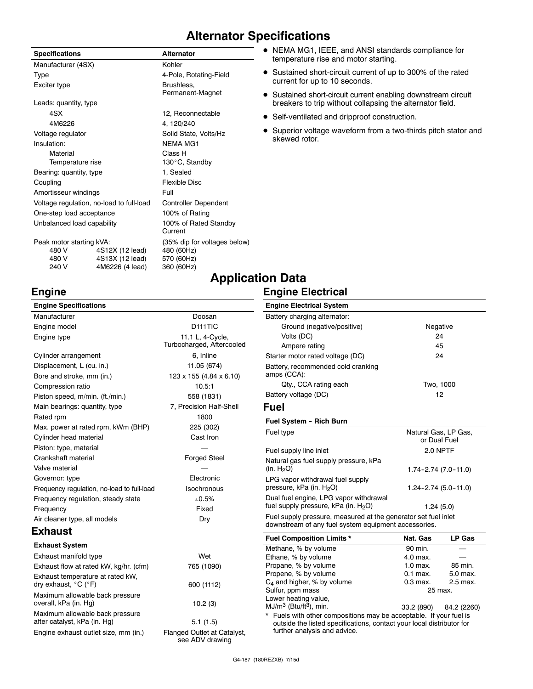# **Alternator Specifications**

| <b>Specifications</b>                    |                 | <b>Alternator</b>                |  |
|------------------------------------------|-----------------|----------------------------------|--|
| Manufacturer (4SX)                       |                 | Kohler                           |  |
| Type                                     |                 | 4-Pole, Rotating-Field           |  |
| Exciter type                             |                 | Brushless,<br>Permanent-Magnet   |  |
| Leads: quantity, type                    |                 |                                  |  |
| 4SX                                      |                 | 12, Reconnectable                |  |
| 4M6226                                   |                 | 4, 120/240                       |  |
| Voltage regulator                        |                 | Solid State, Volts/Hz            |  |
| Insulation:                              |                 | <b>NFMA MG1</b>                  |  |
| Material                                 |                 | Class H                          |  |
| Temperature rise                         |                 | 130°C, Standby                   |  |
| Bearing: quantity, type                  |                 | 1, Sealed                        |  |
| Coupling                                 |                 | <b>Flexible Disc</b>             |  |
| Amortisseur windings                     |                 | Full                             |  |
| Voltage regulation, no-load to full-load |                 | <b>Controller Dependent</b>      |  |
| One-step load acceptance                 |                 | 100% of Rating                   |  |
| Unbalanced load capability               |                 | 100% of Rated Standby<br>Current |  |
| Peak motor starting kVA:                 |                 | (35% dip for voltages below)     |  |
| 480 V                                    | 4S12X (12 lead) | 480 (60Hz)                       |  |
| 480 V                                    | 4S13X (12 lead) | 570 (60Hz)                       |  |
| 240 V                                    | 4M6226 (4 lead) | 360 (60Hz)                       |  |

- NEMA MG1, IEEE, and ANSI standards compliance for temperature rise and motor starting.
- Sustained short-circuit current of up to 300% of the rated current for up to 10 seconds.
- Sustained short-circuit current enabling downstream circuit breakers to trip without collapsing the alternator field.
- $\bullet$  Self-ventilated and dripproof construction.
- Superior voltage waveform from a two-thirds pitch stator and skewed rotor.

# **Application Data**

### **Engine Electrical**

| <b>Engine Specifications</b>               |                                       | <b>Engine Electrical System</b>                                                                                 |                    |
|--------------------------------------------|---------------------------------------|-----------------------------------------------------------------------------------------------------------------|--------------------|
| Manufacturer                               | Doosan                                | Battery charging alternator:                                                                                    |                    |
| Engine model                               | D <sub>111</sub> TIC                  | Ground (negative/positive)                                                                                      | Nega               |
| Engine type                                | 11.1 L, 4-Cycle,                      | Volts (DC)                                                                                                      | 24                 |
|                                            | Turbocharged, Aftercooled             | Ampere rating                                                                                                   | 45                 |
| Cylinder arrangement                       | 6, Inline                             | Starter motor rated voltage (DC)                                                                                | 24                 |
| Displacement, L (cu. in.)                  | 11.05 (674)                           | Battery, recommended cold cranking                                                                              |                    |
| Bore and stroke, mm (in.)                  | $123 \times 155$ (4.84 $\times$ 6.10) | amps (CCA):                                                                                                     |                    |
| Compression ratio                          | 10.5:1                                | Qty., CCA rating each                                                                                           | Two, 1             |
| Piston speed, m/min. (ft./min.)            | 558 (1831)                            | Battery voltage (DC)                                                                                            | 12                 |
| Main bearings: quantity, type              | 7, Precision Half-Shell               | Fuel                                                                                                            |                    |
| Rated rpm                                  | 1800                                  | Fuel System - Rich Burn                                                                                         |                    |
| Max. power at rated rpm, kWm (BHP)         | 225 (302)                             | Fuel type                                                                                                       | <b>Natural Gas</b> |
| Cylinder head material                     | Cast Iron                             |                                                                                                                 | or Dual            |
| Piston: type, material                     |                                       | Fuel supply line inlet                                                                                          | 2.0 N              |
| Crankshaft material                        | <b>Forged Steel</b>                   | Natural gas fuel supply pressure, kPa                                                                           |                    |
| Valve material                             |                                       | (in. $H_2O$ )                                                                                                   | $1.74 - 2.74$ (    |
| Governor: type                             | Electronic                            | LPG vapor withdrawal fuel supply                                                                                |                    |
| Frequency regulation, no-load to full-load | Isochronous                           | pressure, kPa (in. H <sub>2</sub> O)                                                                            | $1.24 - 2.74$ (    |
| Frequency regulation, steady state         | ±0.5%                                 | Dual fuel engine, LPG vapor withdrawal                                                                          |                    |
| Frequency                                  | Fixed                                 | fuel supply pressure, kPa (in. $H_2O$ )                                                                         | 1.24(              |
| Air cleaner type, all models               | Dry                                   | Fuel supply pressure, measured at the generator set fuel<br>downstream of any fuel system equipment accessories |                    |

### **Exhaust**

**Engine**

| <b>Exhaust System</b>                                                         |                                                |
|-------------------------------------------------------------------------------|------------------------------------------------|
| Exhaust manifold type                                                         | Wet                                            |
| Exhaust flow at rated kW, kg/hr. (cfm)                                        | 765 (1090)                                     |
| Exhaust temperature at rated kW,<br>dry exhaust, $^{\circ}$ C ( $^{\circ}$ F) | 600 (1112)                                     |
| Maximum allowable back pressure<br>overall, kPa (in. Hg)                      | 10.2(3)                                        |
| Maximum allowable back pressure<br>after catalyst, kPa (in. Hg)               | 5.1(1.5)                                       |
| Engine exhaust outlet size, mm (in.)                                          | Flanged Outlet at Catalyst,<br>see ADV drawing |

| Ampere rating                                                   | 45                                   |
|-----------------------------------------------------------------|--------------------------------------|
| Starter motor rated voltage (DC)                                | 24                                   |
| Battery, recommended cold cranking<br>amps (CCA):               |                                      |
| Qty., CCA rating each                                           | Two, 1000                            |
| Battery voltage (DC)                                            | 12                                   |
| Fuel                                                            |                                      |
| Fuel System - Rich Burn                                         |                                      |
|                                                                 |                                      |
| Fuel type                                                       | Natural Gas, LP Gas,<br>or Dual Fuel |
| Fuel supply line inlet                                          | 2.0 NPTF                             |
| Natural gas fuel supply pressure, kPa<br>(in. H <sub>2</sub> O) | $1.74 - 2.74$ (7.0 - 11.0)           |

Negative

idrawa<mark>l</mark><br>O)  $1.24(5.0)$ at the generator set fuel inlet equipment accessories.

| <b>Fuel Composition Limits *</b>                                                                                                                                            | Nat. Gas   | <b>LP Gas</b>          |  |
|-----------------------------------------------------------------------------------------------------------------------------------------------------------------------------|------------|------------------------|--|
| Methane, % by volume                                                                                                                                                        | 90 min.    |                        |  |
| Ethane, % by volume                                                                                                                                                         | 4.0 max.   |                        |  |
| Propane, % by volume                                                                                                                                                        | $1.0$ max. | 85 min.                |  |
| Propene, % by volume                                                                                                                                                        | $0.1$ max. | 5.0 max.               |  |
| $C_4$ and higher, % by volume                                                                                                                                               | $0.3$ max. | 2.5 max.               |  |
| Sulfur, ppm mass                                                                                                                                                            | 25 max.    |                        |  |
| Lower heating value,                                                                                                                                                        |            |                        |  |
| $MJ/m3$ (Btu/ft <sup>3</sup> ), min.                                                                                                                                        |            | 33.2 (890) 84.2 (2260) |  |
| * Fuels with other compositions may be acceptable. If your fuel is<br>outside the listed specifications, contact your local distributor for<br>further analysis and advice. |            |                        |  |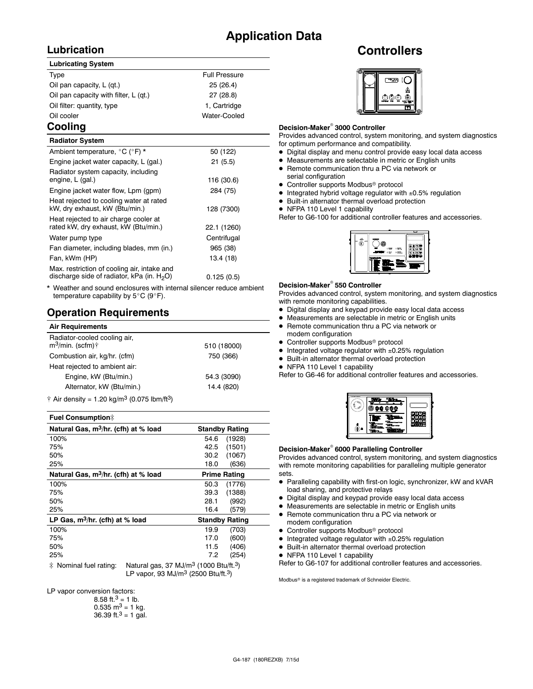# **Application Data**

# **Lubrication**

#### **Lubricating System**

| Type                                  | <b>Full Pressure</b> |
|---------------------------------------|----------------------|
| Oil pan capacity, L (qt.)             | 25(26.4)             |
| Oil pan capacity with filter, L (qt.) | 27(28.8)             |
| Oil filter: quantity, type            | 1, Cartridge         |
| Oil cooler                            | Water-Cooled         |
|                                       |                      |

### **Cooling**

| <b>Radiator System</b>                                                                       |             |
|----------------------------------------------------------------------------------------------|-------------|
| Ambient temperature, °C (°F) *                                                               | 50 (122)    |
| Engine jacket water capacity, L (gal.)                                                       | 21(5.5)     |
| Radiator system capacity, including<br>engine, L (gal.)                                      | 116 (30.6)  |
| Engine jacket water flow, Lpm (gpm)                                                          | 284 (75)    |
| Heat rejected to cooling water at rated<br>kW, dry exhaust, kW (Btu/min.)                    | 128 (7300)  |
| Heat rejected to air charge cooler at<br>rated kW, dry exhaust, kW (Btu/min.)                | 22.1 (1260) |
| Water pump type                                                                              | Centrifugal |
| Fan diameter, including blades, mm (in.)                                                     | 965 (38)    |
| Fan, kWm (HP)                                                                                | 13.4 (18)   |
| Max. restriction of cooling air, intake and<br>discharge side of radiator, kPa (in. $H_2O$ ) | 0.125(0.5)  |

Weather and sound enclosures with internal silencer reduce ambient temperature capability by  $5^{\circ}$ C (9 $^{\circ}$ F).

### **Operation Requirements**

| <b>Air Requirements</b>                                       |             |
|---------------------------------------------------------------|-------------|
| Radiator-cooled cooling air,<br>$m^3$ /min. (scfm) $\uparrow$ | 510 (18000) |
| Combustion air, kg/hr. (cfm)                                  | 750 (366)   |
| Heat rejected to ambient air:                                 |             |
| Engine, kW (Btu/min.)                                         | 54.3 (3090) |
| Alternator, kW (Btu/min.)                                     | 14.4 (820)  |
|                                                               |             |

 $\dagger$  Air density = 1.20 kg/m<sup>3</sup> (0.075 lbm/ft<sup>3</sup>)

#### **Fuel Consumption**]

| Natural Gas, m <sup>3</sup> /hr. (cfh) at % load | <b>Standby Rating</b>               |
|--------------------------------------------------|-------------------------------------|
| 100%                                             | 54.6<br>(1928)                      |
| 75%                                              | (1501)<br>42.5                      |
| 50%                                              | 30.2<br>(1067)                      |
| 25%                                              | (636)<br>18.0                       |
| Natural Gas, m <sup>3</sup> /hr. (cfh) at % load | <b>Prime Rating</b>                 |
| 100%                                             | 50.3<br>(1776)                      |
| 75%                                              | (1388)<br>39.3                      |
| 50%                                              | (992)<br>28.1                       |
| 25%                                              | 16.4<br>(579)                       |
| LP Gas, $m^3/hr$ . (cfh) at % load               | <b>Standby Rating</b>               |
| 100%                                             | (703)<br>19.9                       |
| 75%                                              | (600)<br>17.0                       |
| 50%                                              | (406)<br>11.5                       |
| 25%                                              | 7.2<br>(254)                        |
| $\cdots$<br>.                                    | 2<br>$\sim$ $\sim$<br>$- - - - - -$ |

 $\ddagger$  Nominal fuel rating: Natural gas, 37 MJ/m<sup>3</sup> (1000 Btu/ft.<sup>3</sup>) LP vapor, 93 MJ/ $m^3$  (2500 Btu/ft.<sup>3</sup>)

LP vapor conversion factors:

| 8.58 ft. <sup>3</sup> = 1 lb.        |
|--------------------------------------|
| $0.535 \text{ m}^3 = 1 \text{ kg}$ . |
| 36.39 ft. $3 = 1$ gal.               |

# **Controllers**



#### **Decision-Maker<sup>®</sup> 3000 Controller**

Provides advanced control, system monitoring, and system diagnostics for optimum performance and compatibility.

- $\bullet$  Digital display and menu control provide easy local data access
- $\bullet$  Measurements are selectable in metric or English units
- Remote communication thru a PC via network or
- serial configuration • Controller supports Modbus<sup>®</sup> protocol
- $\bullet$  Integrated hybrid voltage regulator with  $\pm 0.5\%$  regulation
- $\bullet$  Built-in alternator thermal overload protection
- NFPA 110 Level 1 capability

Refer to G6-100 for additional controller features and accessories.



#### **Decision-Maker<sup>®</sup> 550 Controller**

Provides advanced control, system monitoring, and system diagnostics with remote monitoring capabilities.

- $\bullet$  Digital display and keypad provide easy local data access
- $\bullet$  Measurements are selectable in metric or English units
- Remote communication thru a PC via network or modem configuration
- $\bullet$  Controller supports Modbus<sup>®</sup> protocol
- $\bullet$  Integrated voltage regulator with  $\pm 0.25\%$  regulation
- $\bullet$  Built-in alternator thermal overload protection
- NFPA 110 Level 1 capability

Refer to G6-46 for additional controller features and accessories.

| p. |  |
|----|--|
|    |  |
|    |  |
|    |  |
|    |  |
|    |  |

#### **Decision-Maker<sup>®</sup> 6000 Paralleling Controller**

Provides advanced control, system monitoring, and system diagnostics with remote monitoring capabilities for paralleling multiple generator sets.

- Paralleling capability with first-on logic, synchronizer, kW and kVAR load sharing, and protective relays
- $\bullet$  Digital display and keypad provide easy local data access
- $\bullet$  Measurements are selectable in metric or English units
- Remote communication thru a PC via network or modem configuration
- $\bullet$  Controller supports Modbus<sup>®</sup> protocol
- $\bullet$  Integrated voltage regulator with  $\pm 0.25\%$  regulation
- $\bullet$  Built-in alternator thermal overload protection
- NFPA 110 Level 1 capability

Refer to G6-107 for additional controller features and accessories.

Modbus<sup>®</sup> is a registered trademark of Schneider Electric.